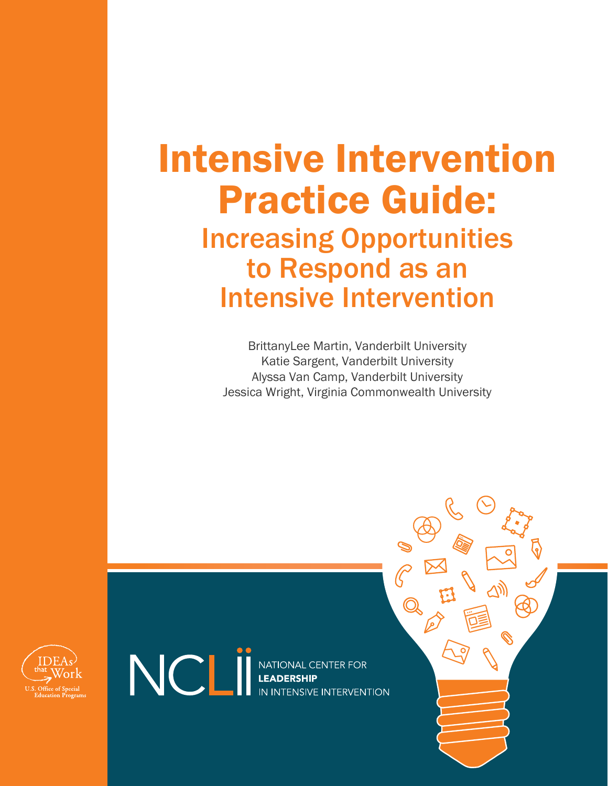# Intensive Intervention Practice Guide: Increasing Opportunities to Respond as an Intensive Intervention

BrittanyLee Martin, Vanderbilt University Katie Sargent, Vanderbilt University Alyssa Van Camp, Vanderbilt University Jessica Wright, Virginia Commonwealth University



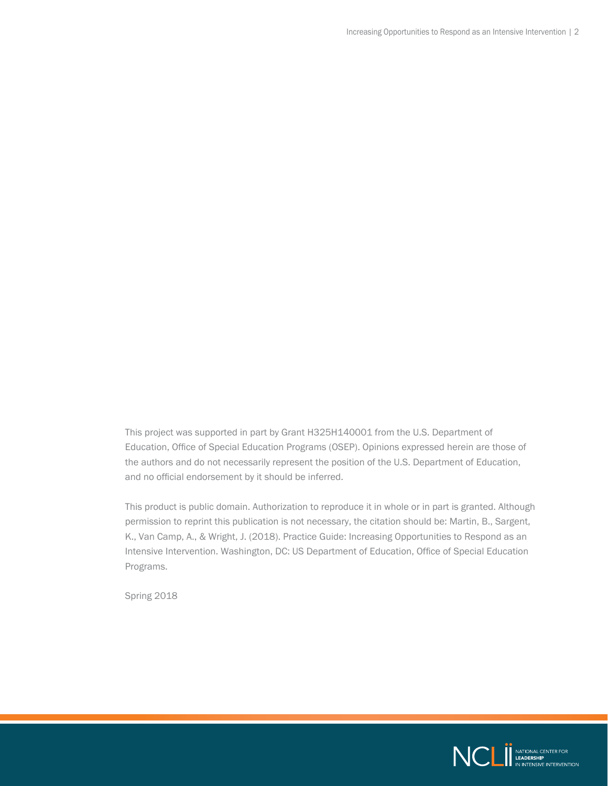This project was supported in part by Grant H325H140001 from the U.S. Department of Education, Office of Special Education Programs (OSEP). Opinions expressed herein are those of the authors and do not necessarily represent the position of the U.S. Department of Education, and no official endorsement by it should be inferred.

This product is public domain. Authorization to reproduce it in whole or in part is granted. Although permission to reprint this publication is not necessary, the citation should be: Martin, B., Sargent, K., Van Camp, A., & Wright, J. (2018). Practice Guide: Increasing Opportunities to Respond as an Intensive Intervention. Washington, DC: US Department of Education, Office of Special Education Programs.

Spring 2018

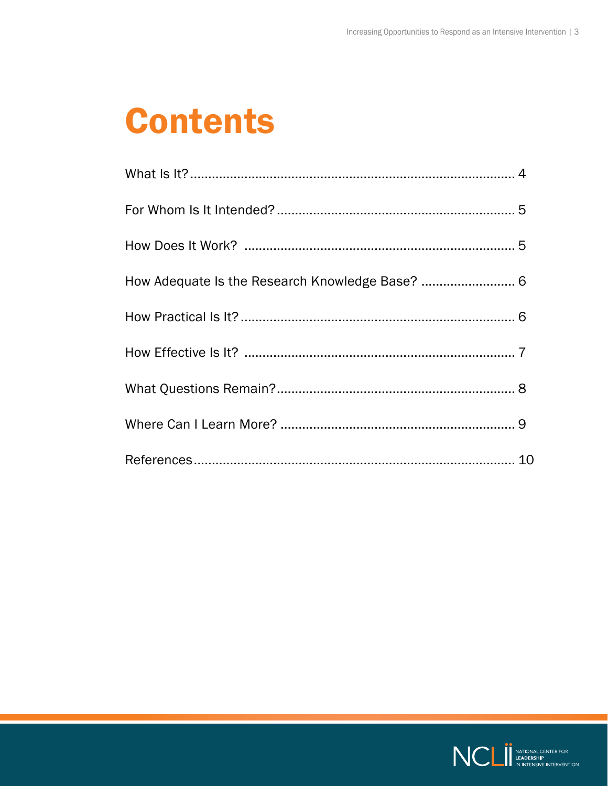# **Contents**

| How Adequate Is the Research Knowledge Base?  6 |  |
|-------------------------------------------------|--|
|                                                 |  |
|                                                 |  |
|                                                 |  |
|                                                 |  |
|                                                 |  |

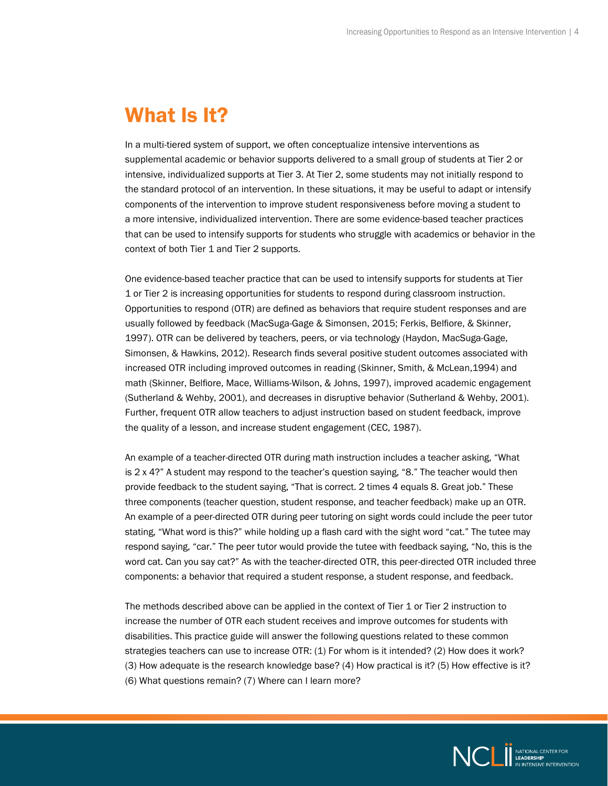## <span id="page-3-0"></span>What Is It?

In a multi-tiered system of support, we often conceptualize intensive interventions as supplemental academic or behavior supports delivered to a small group of students at Tier 2 or intensive, individualized supports at Tier 3. At Tier 2, some students may not initially respond to the standard protocol of an intervention. In these situations, it may be useful to adapt or intensify components of the intervention to improve student responsiveness before moving a student to a more intensive, individualized intervention. There are some evidence-based teacher practices that can be used to intensify supports for students who struggle with academics or behavior in the context of both Tier 1 and Tier 2 supports.

One evidence-based teacher practice that can be used to intensify supports for students at Tier 1 or Tier 2 is increasing opportunities for students to respond during classroom instruction. Opportunities to respond (OTR) are defined as behaviors that require student responses and are usually followed by feedback (MacSuga-Gage & Simonsen, 2015; Ferkis, Belfiore, & Skinner, 1997). OTR can be delivered by teachers, peers, or via technology (Haydon, MacSuga-Gage, Simonsen, & Hawkins, 2012). Research finds several positive student outcomes associated with increased OTR including improved outcomes in reading (Skinner, Smith, & McLean,1994) and math (Skinner, Belfiore, Mace, Williams-Wilson, & Johns, 1997), improved academic engagement (Sutherland & Wehby, 2001), and decreases in disruptive behavior (Sutherland & Wehby, 2001). Further, frequent OTR allow teachers to adjust instruction based on student feedback, improve the quality of a lesson, and increase student engagement (CEC, 1987).

An example of a teacher-directed OTR during math instruction includes a teacher asking, "What is  $2 \times 4$ ?" A student may respond to the teacher's question saying, "8." The teacher would then provide feedback to the student saying, "That is correct. 2 times 4 equals 8. Great job." These three components (teacher question, student response, and teacher feedback) make up an OTR. An example of a peer-directed OTR during peer tutoring on sight words could include the peer tutor stating, "What word is this?" while holding up a flash card with the sight word "cat." The tutee may respond saying, "car." The peer tutor would provide the tutee with feedback saying, "No, this is the word cat. Can you say cat?" As with the teacher-directed OTR, this peer-directed OTR included three components: a behavior that required a student response, a student response, and feedback.

The methods described above can be applied in the context of Tier 1 or Tier 2 instruction to increase the number of OTR each student receives and improve outcomes for students with disabilities. This practice guide will answer the following questions related to these common strategies teachers can use to increase OTR: (1) For whom is it intended? (2) How does it work? (3) How adequate is the research knowledge base? (4) How practical is it? (5) How effective is it? (6) What questions remain? (7) Where can I learn more?

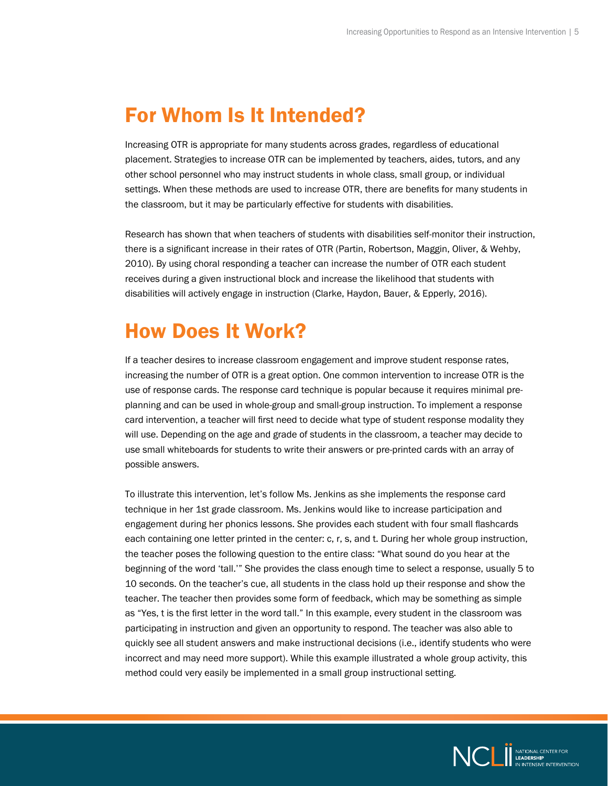## <span id="page-4-0"></span>For Whom Is It Intended?

Increasing OTR is appropriate for many students across grades, regardless of educational placement. Strategies to increase OTR can be implemented by teachers, aides, tutors, and any other school personnel who may instruct students in whole class, small group, or individual settings. When these methods are used to increase OTR, there are benefits for many students in the classroom, but it may be particularly effective for students with disabilities.

Research has shown that when teachers of students with disabilities self-monitor their instruction, there is a significant increase in their rates of OTR (Partin, Robertson, Maggin, Oliver, & Wehby, 2010). By using choral responding a teacher can increase the number of OTR each student receives during a given instructional block and increase the likelihood that students with disabilities will actively engage in instruction (Clarke, Haydon, Bauer, & Epperly, 2016).

### How Does It Work?

If a teacher desires to increase classroom engagement and improve student response rates, increasing the number of OTR is a great option. One common intervention to increase OTR is the use of response cards. The response card technique is popular because it requires minimal preplanning and can be used in whole-group and small-group instruction. To implement a response card intervention, a teacher will first need to decide what type of student response modality they will use. Depending on the age and grade of students in the classroom, a teacher may decide to use small whiteboards for students to write their answers or pre-printed cards with an array of possible answers.

To illustrate this intervention, let's follow Ms. Jenkins as she implements the response card technique in her 1st grade classroom. Ms. Jenkins would like to increase participation and engagement during her phonics lessons. She provides each student with four small flashcards each containing one letter printed in the center: c, r, s, and t. During her whole group instruction, the teacher poses the following question to the entire class: "What sound do you hear at the beginning of the word 'tall.'" She provides the class enough time to select a response, usually 5 to 10 seconds. On the teacher's cue, all students in the class hold up their response and show the teacher. The teacher then provides some form of feedback, which may be something as simple as "Yes, t is the first letter in the word tall." In this example, every student in the classroom was participating in instruction and given an opportunity to respond. The teacher was also able to quickly see all student answers and make instructional decisions (i.e., identify students who were incorrect and may need more support). While this example illustrated a whole group activity, this method could very easily be implemented in a small group instructional setting.

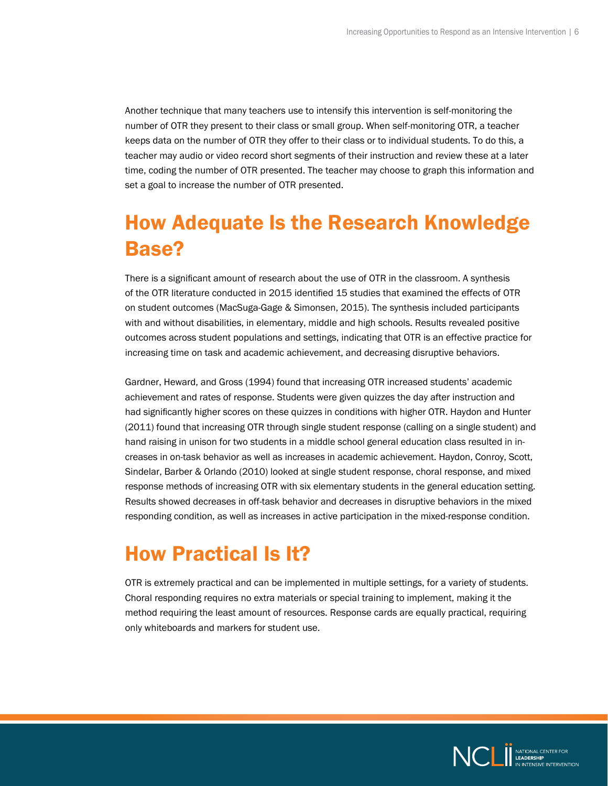<span id="page-5-0"></span>Another technique that many teachers use to intensify this intervention is self-monitoring the number of OTR they present to their class or small group. When self-monitoring OTR, a teacher keeps data on the number of OTR they offer to their class or to individual students. To do this, a teacher may audio or video record short segments of their instruction and review these at a later time, coding the number of OTR presented. The teacher may choose to graph this information and set a goal to increase the number of OTR presented.

## How Adequate Is the Research Knowledge Base?

There is a significant amount of research about the use of OTR in the classroom. A synthesis of the OTR literature conducted in 2015 identified 15 studies that examined the effects of OTR on student outcomes (MacSuga-Gage & Simonsen, 2015). The synthesis included participants with and without disabilities, in elementary, middle and high schools. Results revealed positive outcomes across student populations and settings, indicating that OTR is an effective practice for increasing time on task and academic achievement, and decreasing disruptive behaviors.

Gardner, Heward, and Gross (1994) found that increasing OTR increased students' academic achievement and rates of response. Students were given quizzes the day after instruction and had significantly higher scores on these quizzes in conditions with higher OTR. Haydon and Hunter (2011) found that increasing OTR through single student response (calling on a single student) and hand raising in unison for two students in a middle school general education class resulted in increases in on-task behavior as well as increases in academic achievement. Haydon, Conroy, Scott, Sindelar, Barber & Orlando (2010) looked at single student response, choral response, and mixed response methods of increasing OTR with six elementary students in the general education setting. Results showed decreases in off-task behavior and decreases in disruptive behaviors in the mixed responding condition, as well as increases in active participation in the mixed-response condition.

### How Practical Is It?

OTR is extremely practical and can be implemented in multiple settings, for a variety of students. Choral responding requires no extra materials or special training to implement, making it the method requiring the least amount of resources. Response cards are equally practical, requiring only whiteboards and markers for student use.

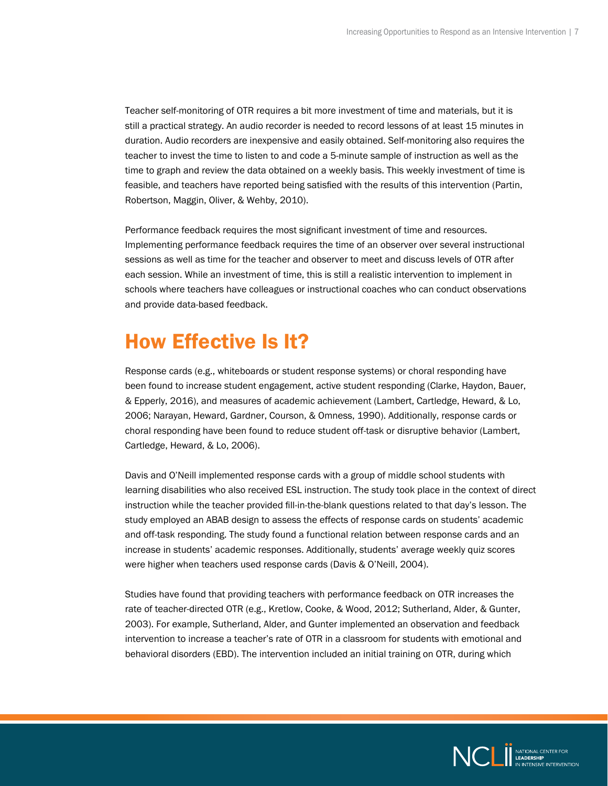<span id="page-6-0"></span>Teacher self-monitoring of OTR requires a bit more investment of time and materials, but it is still a practical strategy. An audio recorder is needed to record lessons of at least 15 minutes in duration. Audio recorders are inexpensive and easily obtained. Self-monitoring also requires the teacher to invest the time to listen to and code a 5-minute sample of instruction as well as the time to graph and review the data obtained on a weekly basis. This weekly investment of time is feasible, and teachers have reported being satisfied with the results of this intervention (Partin, Robertson, Maggin, Oliver, & Wehby, 2010).

Performance feedback requires the most significant investment of time and resources. Implementing performance feedback requires the time of an observer over several instructional sessions as well as time for the teacher and observer to meet and discuss levels of OTR after each session. While an investment of time, this is still a realistic intervention to implement in schools where teachers have colleagues or instructional coaches who can conduct observations and provide data-based feedback.

### How Effective Is It?

Response cards (e.g., whiteboards or student response systems) or choral responding have been found to increase student engagement, active student responding (Clarke, Haydon, Bauer, & Epperly, 2016), and measures of academic achievement (Lambert, Cartledge, Heward, & Lo, 2006; Narayan, Heward, Gardner, Courson, & Omness, 1990). Additionally, response cards or choral responding have been found to reduce student off-task or disruptive behavior (Lambert, Cartledge, Heward, & Lo, 2006).

Davis and O'Neill implemented response cards with a group of middle school students with learning disabilities who also received ESL instruction. The study took place in the context of direct instruction while the teacher provided fill-in-the-blank questions related to that day's lesson. The study employed an ABAB design to assess the effects of response cards on students' academic and off-task responding. The study found a functional relation between response cards and an increase in students' academic responses. Additionally, students' average weekly quiz scores were higher when teachers used response cards (Davis & O'Neill, 2004).

Studies have found that providing teachers with performance feedback on OTR increases the rate of teacher-directed OTR (e.g., Kretlow, Cooke, & Wood, 2012; Sutherland, Alder, & Gunter, 2003). For example, Sutherland, Alder, and Gunter implemented an observation and feedback intervention to increase a teacher's rate of OTR in a classroom for students with emotional and behavioral disorders (EBD). The intervention included an initial training on OTR, during which

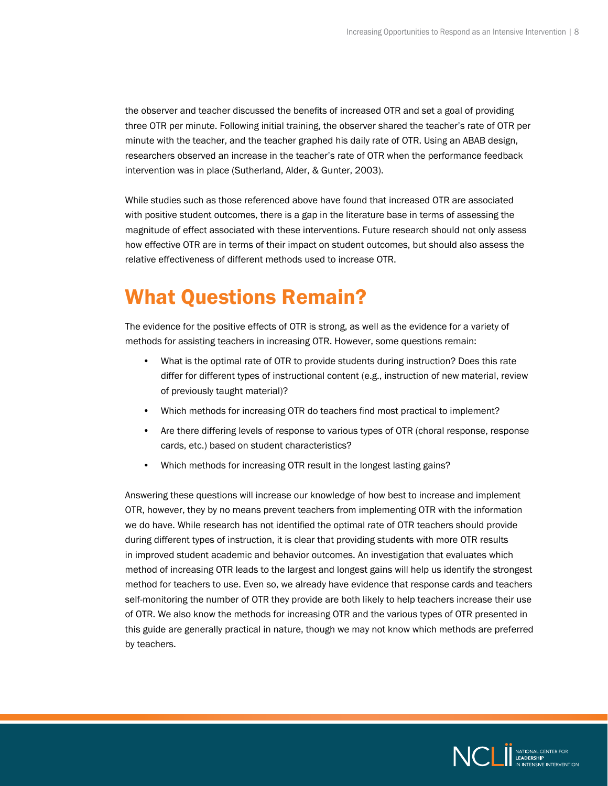<span id="page-7-0"></span>the observer and teacher discussed the benefits of increased OTR and set a goal of providing three OTR per minute. Following initial training, the observer shared the teacher's rate of OTR per minute with the teacher, and the teacher graphed his daily rate of OTR. Using an ABAB design, researchers observed an increase in the teacher's rate of OTR when the performance feedback intervention was in place (Sutherland, Alder, & Gunter, 2003).

While studies such as those referenced above have found that increased OTR are associated with positive student outcomes, there is a gap in the literature base in terms of assessing the magnitude of effect associated with these interventions. Future research should not only assess how effective OTR are in terms of their impact on student outcomes, but should also assess the relative effectiveness of different methods used to increase OTR.

## What Questions Remain?

The evidence for the positive effects of OTR is strong, as well as the evidence for a variety of methods for assisting teachers in increasing OTR. However, some questions remain:

- What is the optimal rate of OTR to provide students during instruction? Does this rate differ for different types of instructional content (e.g., instruction of new material, review of previously taught material)?
- Which methods for increasing OTR do teachers find most practical to implement?
- Are there differing levels of response to various types of OTR (choral response, response cards, etc.) based on student characteristics?
- Which methods for increasing OTR result in the longest lasting gains?

Answering these questions will increase our knowledge of how best to increase and implement OTR, however, they by no means prevent teachers from implementing OTR with the information we do have. While research has not identified the optimal rate of OTR teachers should provide during different types of instruction, it is clear that providing students with more OTR results in improved student academic and behavior outcomes. An investigation that evaluates which method of increasing OTR leads to the largest and longest gains will help us identify the strongest method for teachers to use. Even so, we already have evidence that response cards and teachers self-monitoring the number of OTR they provide are both likely to help teachers increase their use of OTR. We also know the methods for increasing OTR and the various types of OTR presented in this guide are generally practical in nature, though we may not know which methods are preferred by teachers.

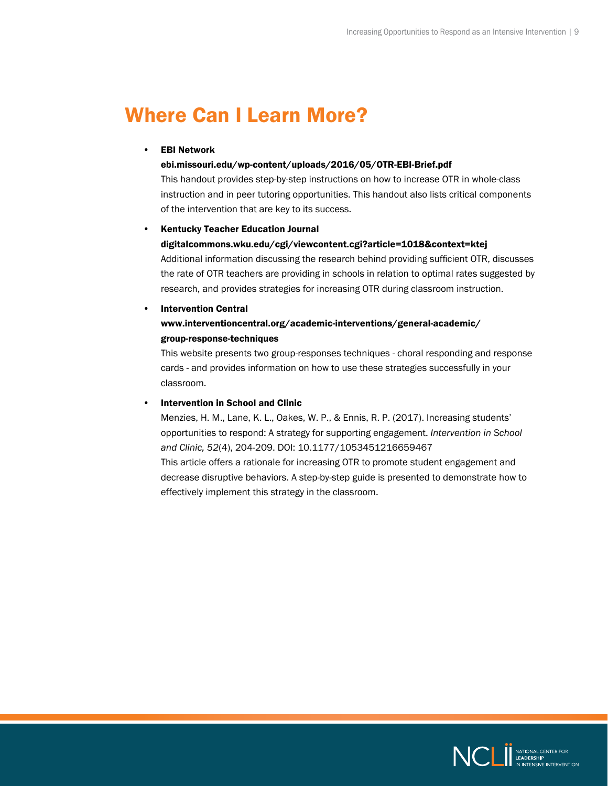# <span id="page-8-0"></span>Where Can I Learn More?

#### **EBI Network**

#### [ebi.missouri.edu/wp-content/uploads/2016/05/OTR-EBI-Brief.pdf](http://ebi.missouri.edu/wp-content/uploads/2016/05/OTR-EBI-Brief.pdf)

This handout provides step-by-step instructions on how to increase OTR in whole-class instruction and in peer tutoring opportunities. This handout also lists critical components of the intervention that are key to its success.

#### • Kentucky Teacher Education Journal

#### [digitalcommons.wku.edu/cgi/viewcontent.cgi?article=1018&context=ktej](http://digitalcommons.wku.edu/cgi/viewcontent.cgi?article=1018&context=ktej)

Additional information discussing the research behind providing sufficient OTR, discusses the rate of OTR teachers are providing in schools in relation to optimal rates suggested by research, and provides strategies for increasing OTR during classroom instruction.

#### **Intervention Central**

### [www.interventioncentral.org/academic-interventions/general-academic/](http://www.interventioncentral.org/academic-interventions/general-academic/group-response-techniques) [group-response-techniques](http://www.interventioncentral.org/academic-interventions/general-academic/group-response-techniques)

This website presents two group-responses techniques - choral responding and response cards - and provides information on how to use these strategies successfully in your classroom.

#### • Intervention in School and Clinic

Menzies, H. M., Lane, K. L., Oakes, W. P., & Ennis, R. P. (2017). Increasing students' opportunities to respond: A strategy for supporting engagement. *Intervention in School and Clinic, 52*(4), 204-209. DOI: 10.1177/1053451216659467 This article offers a rationale for increasing OTR to promote student engagement and decrease disruptive behaviors. A step-by-step guide is presented to demonstrate how to effectively implement this strategy in the classroom.

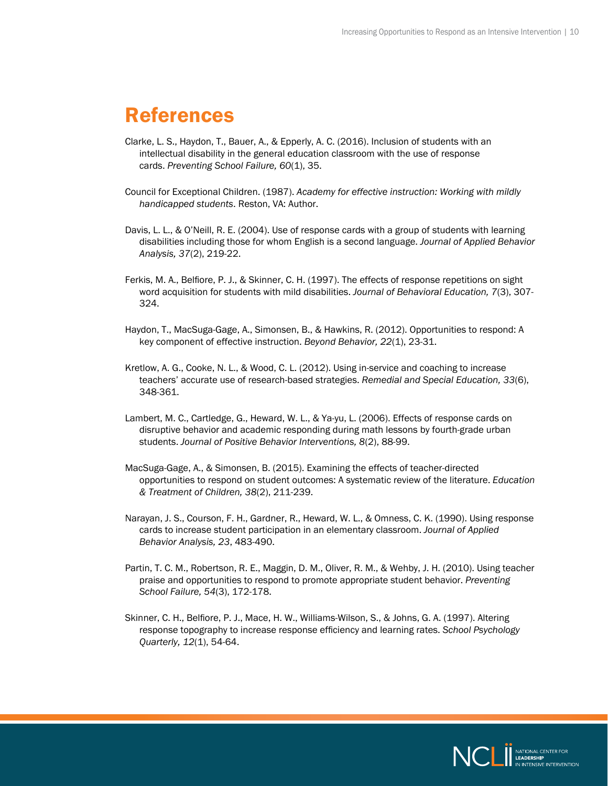### <span id="page-9-0"></span>References

- Clarke, L. S., Haydon, T., Bauer, A., & Epperly, A. C. (2016). Inclusion of students with an intellectual disability in the general education classroom with the use of response cards. *Preventing School Failure, 60*(1), 35.
- Council for Exceptional Children. (1987). *Academy for effective instruction: Working with mildly handicapped students*. Reston, VA: Author.
- Davis, L. L., & O'Neill, R. E. (2004). Use of response cards with a group of students with learning disabilities including those for whom English is a second language. *Journal of Applied Behavior Analysis, 37*(2), 219-22.
- Ferkis, M. A., Belfiore, P. J., & Skinner, C. H. (1997). The effects of response repetitions on sight word acquisition for students with mild disabilities. *Journal of Behavioral Education, 7*(3), 307- 324.
- Haydon, T., MacSuga-Gage, A., Simonsen, B., & Hawkins, R. (2012). Opportunities to respond: A key component of effective instruction. *Beyond Behavior, 22*(1), 23-31.
- Kretlow, A. G., Cooke, N. L., & Wood, C. L. (2012). Using in-service and coaching to increase teachers' accurate use of research-based strategies. *Remedial and Special Education, 33*(6), 348-361.
- Lambert, M. C., Cartledge, G., Heward, W. L., & Ya-yu, L. (2006). Effects of response cards on disruptive behavior and academic responding during math lessons by fourth-grade urban students. *Journal of Positive Behavior Interventions, 8*(2), 88-99.
- MacSuga-Gage, A., & Simonsen, B. (2015). Examining the effects of teacher-directed opportunities to respond on student outcomes: A systematic review of the literature. *Education & Treatment of Children, 38*(2), 211-239.
- Narayan, J. S., Courson, F. H., Gardner, R., Heward, W. L., & Omness, C. K. (1990). Using response cards to increase student participation in an elementary classroom. *Journal of Applied Behavior Analysis, 23*, 483-490.
- Partin, T. C. M., Robertson, R. E., Maggin, D. M., Oliver, R. M., & Wehby, J. H. (2010). Using teacher praise and opportunities to respond to promote appropriate student behavior. *Preventing School Failure, 54*(3), 172-178.
- Skinner, C. H., Belfiore, P. J., Mace, H. W., Williams-Wilson, S., & Johns, G. A. (1997). Altering response topography to increase response efficiency and learning rates. *School Psychology Quarterly, 12*(1), 54-64.